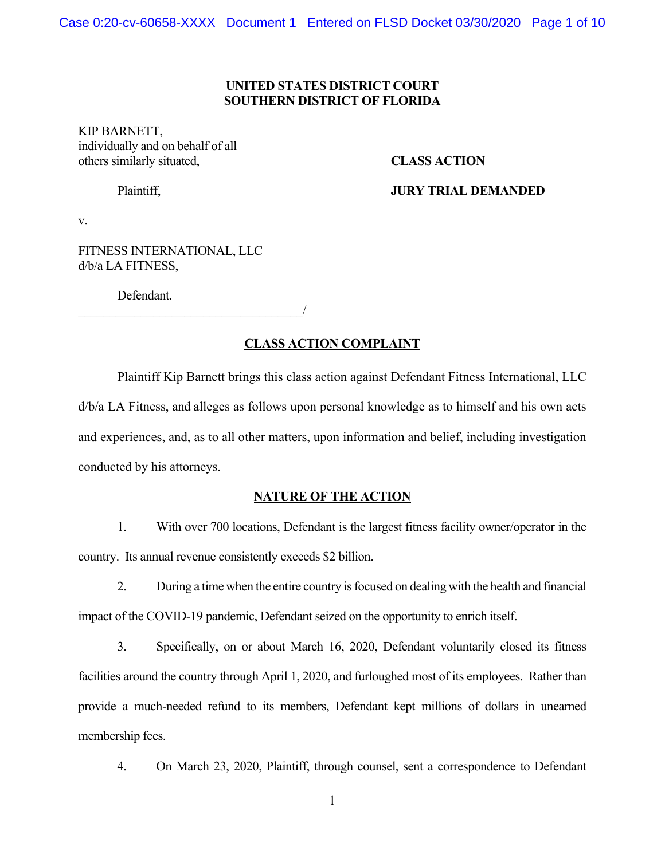#### **UNITED STATES DISTRICT COURT SOUTHERN DISTRICT OF FLORIDA**

KIP BARNETT, individually and on behalf of all others similarly situated, **CLASS ACTION** 

## Plaintiff, **JURY TRIAL DEMANDED**

v.

FITNESS INTERNATIONAL, LLC d/b/a LA FITNESS,

 $\overline{\phantom{a}}$ 

Defendant.

#### **CLASS ACTION COMPLAINT**

Plaintiff Kip Barnett brings this class action against Defendant Fitness International, LLC d/b/a LA Fitness, and alleges as follows upon personal knowledge as to himself and his own acts and experiences, and, as to all other matters, upon information and belief, including investigation conducted by his attorneys.

#### **NATURE OF THE ACTION**

1. With over 700 locations, Defendant is the largest fitness facility owner/operator in the country. Its annual revenue consistently exceeds \$2 billion.

2. During a time when the entire country is focused on dealing with the health and financial impact of the COVID-19 pandemic, Defendant seized on the opportunity to enrich itself.

3. Specifically, on or about March 16, 2020, Defendant voluntarily closed its fitness facilities around the country through April 1, 2020, and furloughed most of its employees. Rather than provide a much-needed refund to its members, Defendant kept millions of dollars in unearned membership fees.

4. On March 23, 2020, Plaintiff, through counsel, sent a correspondence to Defendant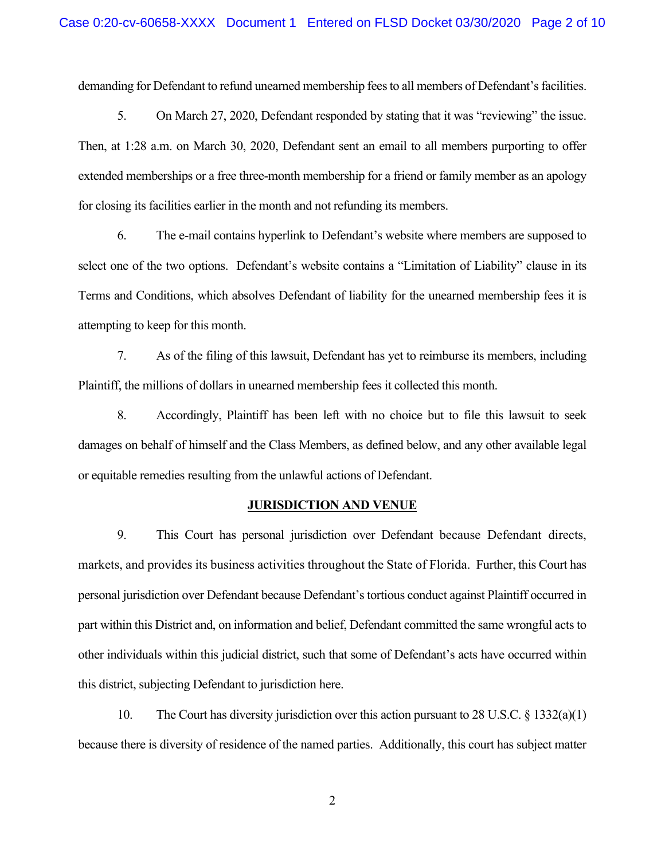demanding for Defendant to refund unearned membership fees to all members of Defendant's facilities.

5. On March 27, 2020, Defendant responded by stating that it was "reviewing" the issue. Then, at 1:28 a.m. on March 30, 2020, Defendant sent an email to all members purporting to offer extended memberships or a free three-month membership for a friend or family member as an apology for closing its facilities earlier in the month and not refunding its members.

6. The e-mail contains hyperlink to Defendant's website where members are supposed to select one of the two options. Defendant's website contains a "Limitation of Liability" clause in its Terms and Conditions, which absolves Defendant of liability for the unearned membership fees it is attempting to keep for this month.

7. As of the filing of this lawsuit, Defendant has yet to reimburse its members, including Plaintiff, the millions of dollars in unearned membership fees it collected this month.

8. Accordingly, Plaintiff has been left with no choice but to file this lawsuit to seek damages on behalf of himself and the Class Members, as defined below, and any other available legal or equitable remedies resulting from the unlawful actions of Defendant.

#### **JURISDICTION AND VENUE**

9. This Court has personal jurisdiction over Defendant because Defendant directs, markets, and provides its business activities throughout the State of Florida. Further, this Court has personal jurisdiction over Defendant because Defendant's tortious conduct against Plaintiff occurred in part within this District and, on information and belief, Defendant committed the same wrongful acts to other individuals within this judicial district, such that some of Defendant's acts have occurred within this district, subjecting Defendant to jurisdiction here.

10. The Court has diversity jurisdiction over this action pursuant to 28 U.S.C. § 1332(a)(1) because there is diversity of residence of the named parties. Additionally, this court has subject matter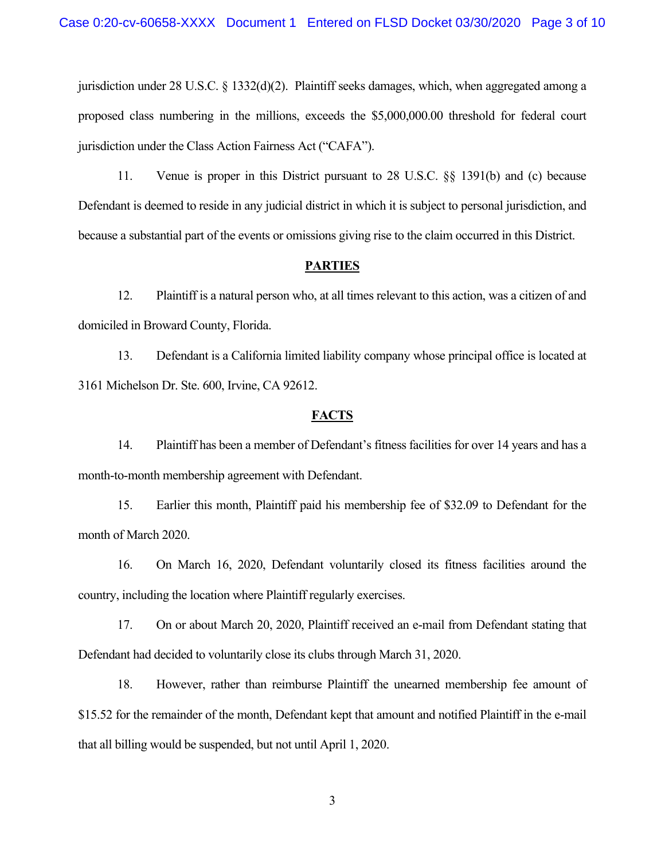jurisdiction under 28 U.S.C. § 1332(d)(2). Plaintiff seeks damages, which, when aggregated among a proposed class numbering in the millions, exceeds the \$5,000,000.00 threshold for federal court jurisdiction under the Class Action Fairness Act ("CAFA").

11. Venue is proper in this District pursuant to 28 U.S.C. §§ 1391(b) and (c) because Defendant is deemed to reside in any judicial district in which it is subject to personal jurisdiction, and because a substantial part of the events or omissions giving rise to the claim occurred in this District.

#### **PARTIES**

12. Plaintiff is a natural person who, at all times relevant to this action, was a citizen of and domiciled in Broward County, Florida.

13. Defendant is a California limited liability company whose principal office is located at 3161 Michelson Dr. Ste. 600, Irvine, CA 92612.

#### **FACTS**

14. Plaintiff has been a member of Defendant's fitness facilities for over 14 years and has a month-to-month membership agreement with Defendant.

15. Earlier this month, Plaintiff paid his membership fee of \$32.09 to Defendant for the month of March 2020.

16. On March 16, 2020, Defendant voluntarily closed its fitness facilities around the country, including the location where Plaintiff regularly exercises.

17. On or about March 20, 2020, Plaintiff received an e-mail from Defendant stating that Defendant had decided to voluntarily close its clubs through March 31, 2020.

18. However, rather than reimburse Plaintiff the unearned membership fee amount of \$15.52 for the remainder of the month, Defendant kept that amount and notified Plaintiff in the e-mail that all billing would be suspended, but not until April 1, 2020.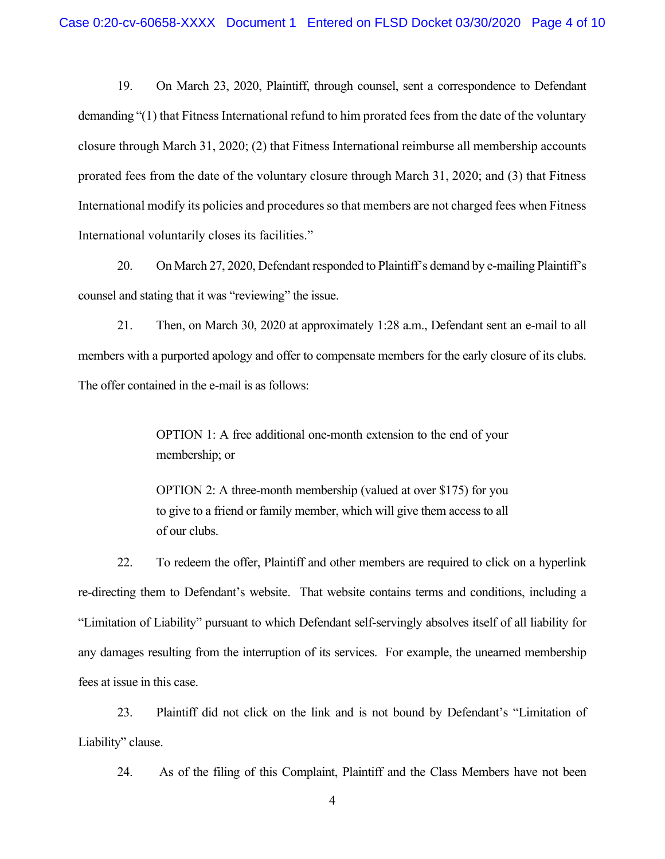19. On March 23, 2020, Plaintiff, through counsel, sent a correspondence to Defendant demanding "(1) that Fitness International refund to him prorated fees from the date of the voluntary closure through March 31, 2020; (2) that Fitness International reimburse all membership accounts prorated fees from the date of the voluntary closure through March 31, 2020; and (3) that Fitness International modify its policies and procedures so that members are not charged fees when Fitness International voluntarily closes its facilities."

20. On March 27, 2020, Defendant responded to Plaintiff's demand by e-mailing Plaintiff's counsel and stating that it was "reviewing" the issue.

21. Then, on March 30, 2020 at approximately 1:28 a.m., Defendant sent an e-mail to all members with a purported apology and offer to compensate members for the early closure of its clubs. The offer contained in the e-mail is as follows:

> OPTION 1: A free additional one-month extension to the end of your membership; or

> OPTION 2: A three-month membership (valued at over \$175) for you to give to a friend or family member, which will give them access to all of our clubs.

22. To redeem the offer, Plaintiff and other members are required to click on a hyperlink re-directing them to Defendant's website. That website contains terms and conditions, including a "Limitation of Liability" pursuant to which Defendant self-servingly absolves itself of all liability for any damages resulting from the interruption of its services. For example, the unearned membership fees at issue in this case.

23. Plaintiff did not click on the link and is not bound by Defendant's "Limitation of Liability" clause.

24. As of the filing of this Complaint, Plaintiff and the Class Members have not been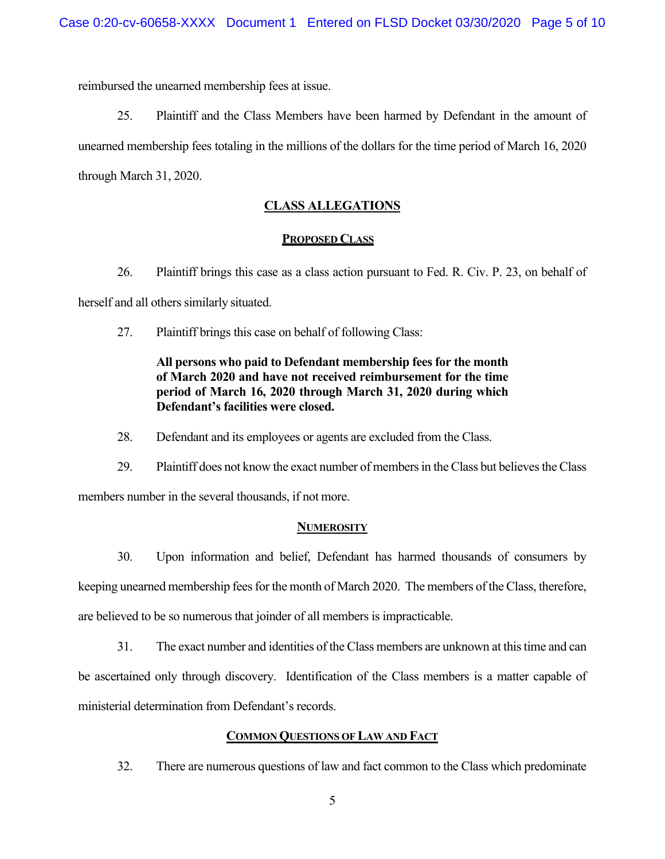reimbursed the unearned membership fees at issue.

25. Plaintiff and the Class Members have been harmed by Defendant in the amount of unearned membership fees totaling in the millions of the dollars for the time period of March 16, 2020 through March 31, 2020.

# **CLASS ALLEGATIONS**

#### **PROPOSED CLASS**

26. Plaintiff brings this case as a class action pursuant to Fed. R. Civ. P. 23, on behalf of herself and all others similarly situated.

27. Plaintiff brings this case on behalf of following Class:

# **All persons who paid to Defendant membership fees for the month of March 2020 and have not received reimbursement for the time period of March 16, 2020 through March 31, 2020 during which Defendant's facilities were closed.**

28. Defendant and its employees or agents are excluded from the Class.

29. Plaintiff does not know the exact number of members in the Class but believes the Class members number in the several thousands, if not more.

#### **NUMEROSITY**

30. Upon information and belief, Defendant has harmed thousands of consumers by keeping unearned membership fees for the month of March 2020. The members of the Class, therefore, are believed to be so numerous that joinder of all members is impracticable.

31. The exact number and identities of the Class members are unknown at this time and can be ascertained only through discovery. Identification of the Class members is a matter capable of ministerial determination from Defendant's records.

## **COMMON QUESTIONS OF LAW AND FACT**

32. There are numerous questions of law and fact common to the Class which predominate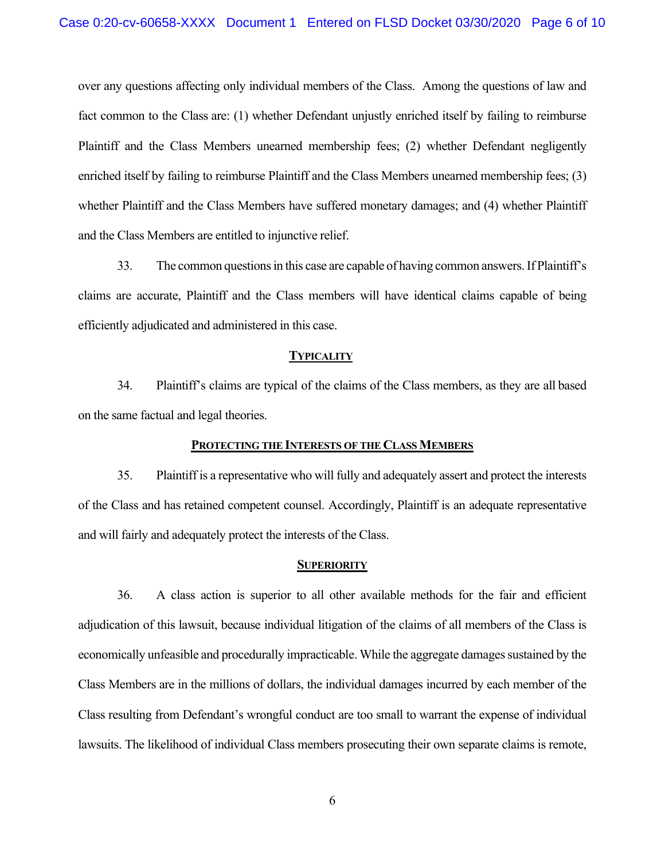over any questions affecting only individual members of the Class. Among the questions of law and fact common to the Class are: (1) whether Defendant unjustly enriched itself by failing to reimburse Plaintiff and the Class Members unearned membership fees; (2) whether Defendant negligently enriched itself by failing to reimburse Plaintiff and the Class Members unearned membership fees; (3) whether Plaintiff and the Class Members have suffered monetary damages; and (4) whether Plaintiff and the Class Members are entitled to injunctive relief.

33. The common questions in this case are capable of having common answers. If Plaintiff's claims are accurate, Plaintiff and the Class members will have identical claims capable of being efficiently adjudicated and administered in this case.

#### **TYPICALITY**

34. Plaintiff's claims are typical of the claims of the Class members, as they are all based on the same factual and legal theories.

#### **PROTECTING THE INTERESTS OF THE CLASS MEMBERS**

35. Plaintiff is a representative who will fully and adequately assert and protect the interests of the Class and has retained competent counsel. Accordingly, Plaintiff is an adequate representative and will fairly and adequately protect the interests of the Class.

#### **SUPERIORITY**

36. A class action is superior to all other available methods for the fair and efficient adjudication of this lawsuit, because individual litigation of the claims of all members of the Class is economically unfeasible and procedurally impracticable. While the aggregate damages sustained by the Class Members are in the millions of dollars, the individual damages incurred by each member of the Class resulting from Defendant's wrongful conduct are too small to warrant the expense of individual lawsuits. The likelihood of individual Class members prosecuting their own separate claims is remote,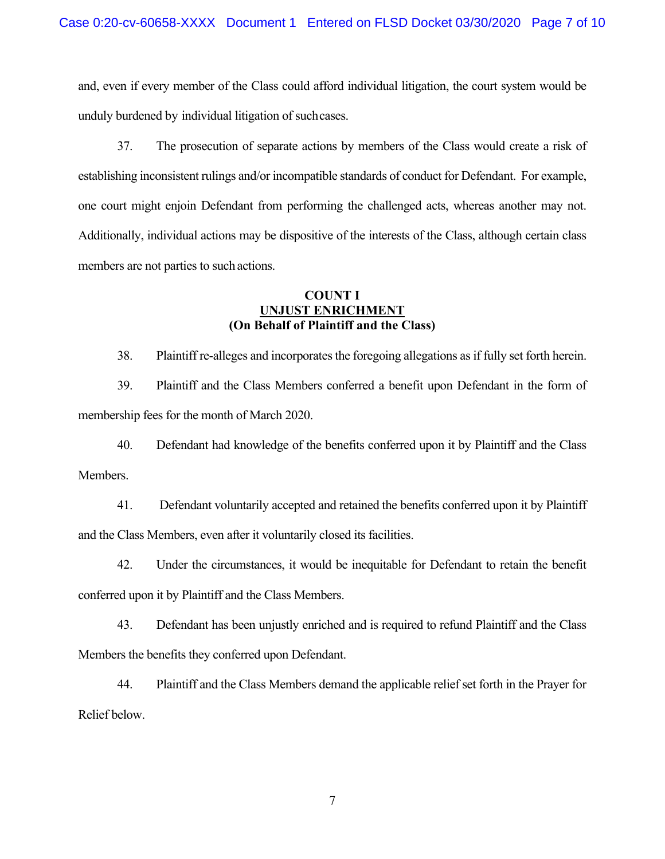and, even if every member of the Class could afford individual litigation, the court system would be unduly burdened by individual litigation of such cases.

37. The prosecution of separate actions by members of the Class would create a risk of establishing inconsistent rulings and/or incompatible standards of conduct for Defendant. For example, one court might enjoin Defendant from performing the challenged acts, whereas another may not. Additionally, individual actions may be dispositive of the interests of the Class, although certain class members are not parties to such actions.

#### **COUNT I UNJUST ENRICHMENT (On Behalf of Plaintiff and the Class)**

38. Plaintiff re-alleges and incorporates the foregoing allegations as if fully set forth herein.

39. Plaintiff and the Class Members conferred a benefit upon Defendant in the form of membership fees for the month of March 2020.

40. Defendant had knowledge of the benefits conferred upon it by Plaintiff and the Class Members.

41. Defendant voluntarily accepted and retained the benefits conferred upon it by Plaintiff and the Class Members, even after it voluntarily closed its facilities.

42. Under the circumstances, it would be inequitable for Defendant to retain the benefit conferred upon it by Plaintiff and the Class Members.

43. Defendant has been unjustly enriched and is required to refund Plaintiff and the Class Members the benefits they conferred upon Defendant.

44. Plaintiff and the Class Members demand the applicable relief set forth in the Prayer for Relief below.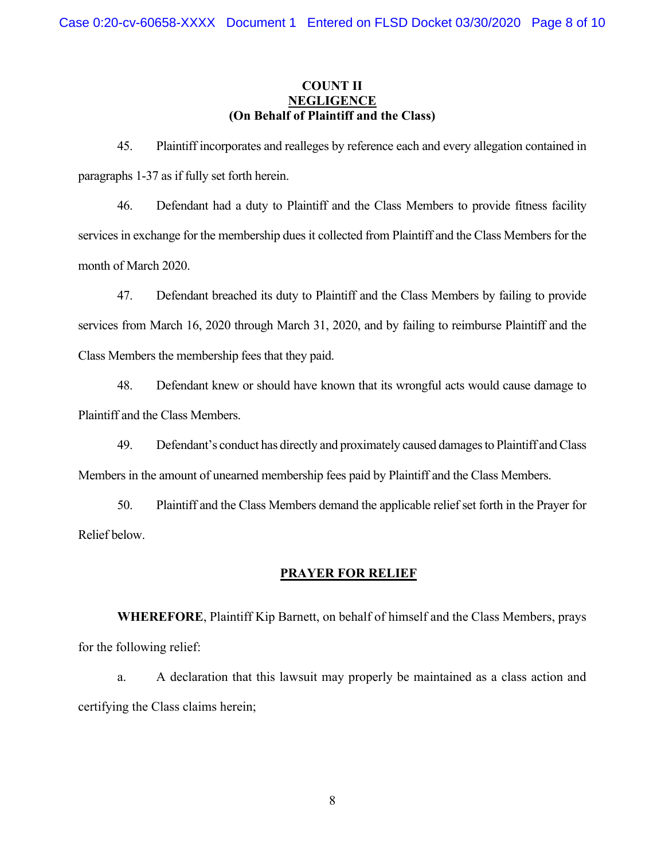## **COUNT II NEGLIGENCE (On Behalf of Plaintiff and the Class)**

45. Plaintiff incorporates and realleges by reference each and every allegation contained in paragraphs 1-37 as if fully set forth herein.

46. Defendant had a duty to Plaintiff and the Class Members to provide fitness facility services in exchange for the membership dues it collected from Plaintiff and the Class Members for the month of March 2020.

47. Defendant breached its duty to Plaintiff and the Class Members by failing to provide services from March 16, 2020 through March 31, 2020, and by failing to reimburse Plaintiff and the Class Members the membership fees that they paid.

48. Defendant knew or should have known that its wrongful acts would cause damage to Plaintiff and the Class Members.

49. Defendant's conduct has directly and proximately caused damages to Plaintiff and Class Members in the amount of unearned membership fees paid by Plaintiff and the Class Members.

50. Plaintiff and the Class Members demand the applicable relief set forth in the Prayer for Relief below.

#### **PRAYER FOR RELIEF**

**WHEREFORE**, Plaintiff Kip Barnett, on behalf of himself and the Class Members, prays for the following relief:

a. A declaration that this lawsuit may properly be maintained as a class action and certifying the Class claims herein;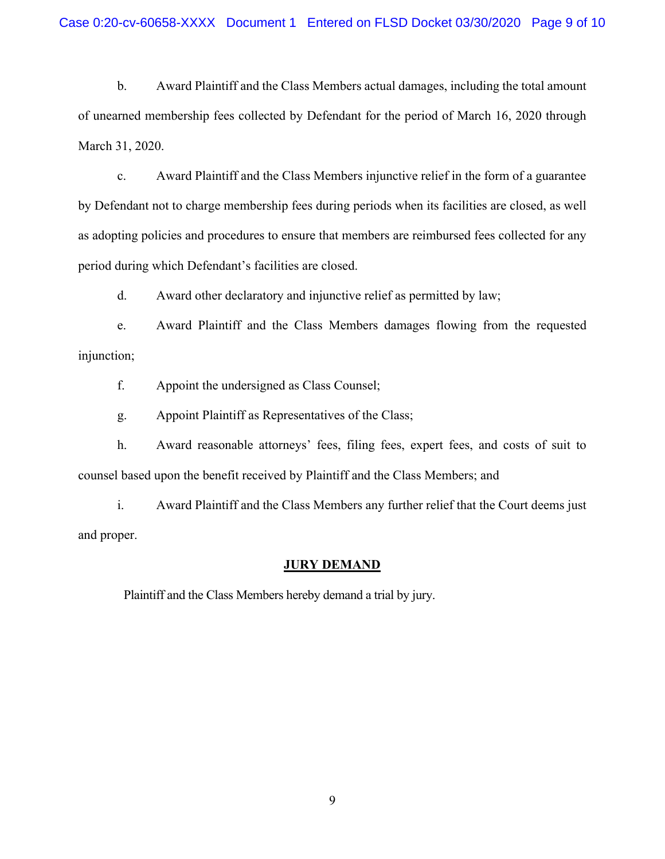b. Award Plaintiff and the Class Members actual damages, including the total amount of unearned membership fees collected by Defendant for the period of March 16, 2020 through March 31, 2020.

c. Award Plaintiff and the Class Members injunctive relief in the form of a guarantee by Defendant not to charge membership fees during periods when its facilities are closed, as well as adopting policies and procedures to ensure that members are reimbursed fees collected for any period during which Defendant's facilities are closed.

d. Award other declaratory and injunctive relief as permitted by law;

e. Award Plaintiff and the Class Members damages flowing from the requested injunction;

f. Appoint the undersigned as Class Counsel;

g. Appoint Plaintiff as Representatives of the Class;

h. Award reasonable attorneys' fees, filing fees, expert fees, and costs of suit to counsel based upon the benefit received by Plaintiff and the Class Members; and

i. Award Plaintiff and the Class Members any further relief that the Court deems just and proper.

#### **JURY DEMAND**

Plaintiff and the Class Members hereby demand a trial by jury.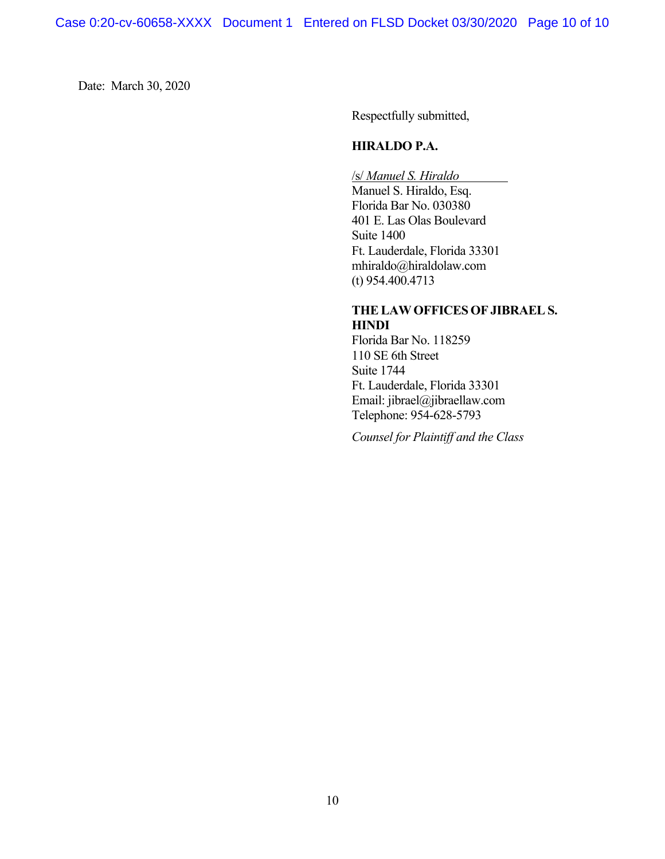Date: March 30, 2020

Respectfully submitted,

# **HIRALDO P.A.**

/s/ *Manuel S. Hiraldo* 

Manuel S. Hiraldo, Esq. Florida Bar No. 030380 401 E. Las Olas Boulevard Suite 1400 Ft. Lauderdale, Florida 33301 mhiraldo@hiraldolaw.com (t) 954.400.4713

# **THE LAW OFFICES OF JIBRAEL S. HINDI**

Florida Bar No. 118259 110 SE 6th Street Suite 1744 Ft. Lauderdale, Florida 33301 Email: jibrael@jibraellaw.com Telephone: 954-628-5793

*Counsel for Plaintiff and the Class*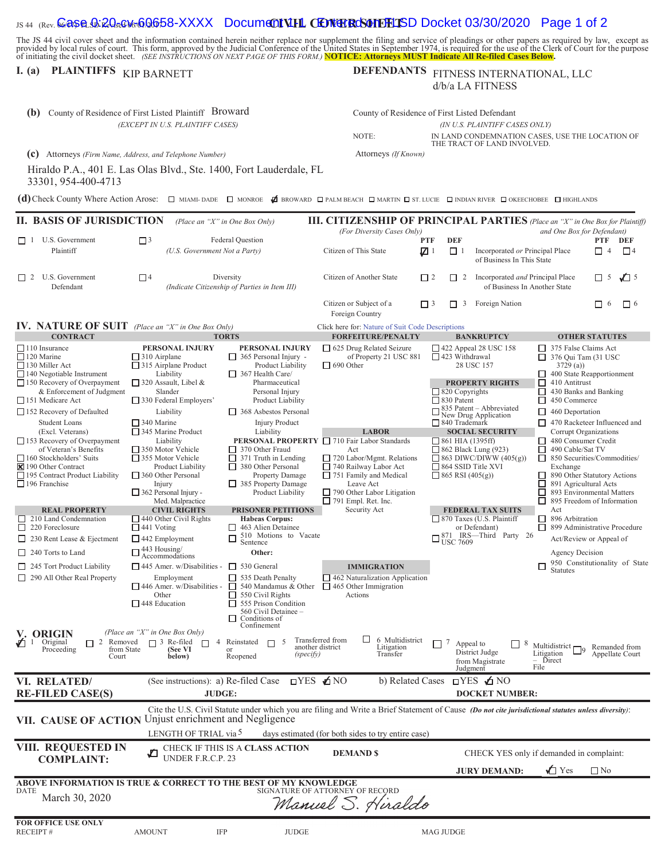#### IS 44 (Rev. **Case 9:20-cv60658-XXXX Document VIIL CENTERCSON FIFLISD Docket 03/30/2020 Page 1 of 2**

The JS 44 civil cover sheet and the information contained herein neither replace nor supplement the filing and service of pleadings or other papers as required by law, except as provided by local rules of court. This form,

# **I.** (a) **PLAINTIFFS** KIP BARNETT

# DEFENDANTS FITNESS INTERNATIONAL, LLC d/b/a LA FITNESS

| (b)                                                                                                                                                                                    | County of Residence of First Listed Plaintiff Broward                                             |                                                                                                                                                                                                                              | County of Residence of First Listed Defendant                                                                                                       |                                                            |                                                                                                                                                                      |                                                                                          |                                                          |  |
|----------------------------------------------------------------------------------------------------------------------------------------------------------------------------------------|---------------------------------------------------------------------------------------------------|------------------------------------------------------------------------------------------------------------------------------------------------------------------------------------------------------------------------------|-----------------------------------------------------------------------------------------------------------------------------------------------------|------------------------------------------------------------|----------------------------------------------------------------------------------------------------------------------------------------------------------------------|------------------------------------------------------------------------------------------|----------------------------------------------------------|--|
| (EXCEPT IN U.S. PLAINTIFF CASES)                                                                                                                                                       |                                                                                                   |                                                                                                                                                                                                                              | (IN U.S. PLAINTIFF CASES ONLY)<br>NOTE:<br>IN LAND CONDEMNATION CASES, USE THE LOCATION OF                                                          |                                                            |                                                                                                                                                                      |                                                                                          |                                                          |  |
|                                                                                                                                                                                        |                                                                                                   |                                                                                                                                                                                                                              |                                                                                                                                                     |                                                            | THE TRACT OF LAND INVOLVED.                                                                                                                                          |                                                                                          |                                                          |  |
| (c) Attorneys (Firm Name, Address, and Telephone Number)                                                                                                                               |                                                                                                   |                                                                                                                                                                                                                              | Attorneys (If Known)                                                                                                                                |                                                            |                                                                                                                                                                      |                                                                                          |                                                          |  |
| Hiraldo P.A., 401 E. Las Olas Blvd., Ste. 1400, Fort Lauderdale, FL<br>33301, 954-400-4713                                                                                             |                                                                                                   |                                                                                                                                                                                                                              |                                                                                                                                                     |                                                            |                                                                                                                                                                      |                                                                                          |                                                          |  |
| (d) Check County Where Action Arose: $\Box$ MIAMI-DADE $\Box$ MONROE Z BROWARD $\Box$ PALM BEACH $\Box$ MARTIN $\Box$ ST. LUCIE $\Box$ INDIAN RIVER $\Box$ OKEECHOBEE $\Box$ HIGHLANDS |                                                                                                   |                                                                                                                                                                                                                              |                                                                                                                                                     |                                                            |                                                                                                                                                                      |                                                                                          |                                                          |  |
| <b>II. BASIS OF JURISDICTION</b>                                                                                                                                                       |                                                                                                   | (Place an "X" in One Box Only)                                                                                                                                                                                               | <b>III. CITIZENSHIP OF PRINCIPAL PARTIES</b> (Place an "X" in One Box for Plaintiff)                                                                |                                                            |                                                                                                                                                                      |                                                                                          |                                                          |  |
|                                                                                                                                                                                        |                                                                                                   |                                                                                                                                                                                                                              | (For Diversity Cases Only)                                                                                                                          |                                                            |                                                                                                                                                                      | and One Box for Defendant)                                                               |                                                          |  |
| $\Box$ 1 U.S. Government<br>Plaintiff                                                                                                                                                  | $\Box$ <sup>3</sup><br>(U.S. Government Not a Party)                                              | Federal Question                                                                                                                                                                                                             | Citizen of This State                                                                                                                               | DEF<br><b>PTF</b><br>$\boldsymbol{\mathbb{Z}}$<br>$\Box$ 1 | Incorporated or Principal Place<br>of Business In This State                                                                                                         |                                                                                          | PTF<br>DEF<br>$\Box$ <sup>4</sup><br>$\Box$ 4            |  |
| $\Box$ 2 U.S. Government<br>Defendant                                                                                                                                                  | $\square$                                                                                         | Diversity<br>(Indicate Citizenship of Parties in Item III)                                                                                                                                                                   | Citizen of Another State                                                                                                                            | $\Box$ 2<br>$\Box$ 2                                       | Incorporated and Principal Place<br>of Business In Another State                                                                                                     |                                                                                          | $\sqrt{2}$ 5<br>$\Box$ 5                                 |  |
|                                                                                                                                                                                        |                                                                                                   |                                                                                                                                                                                                                              | Citizen or Subject of a<br>Foreign Country                                                                                                          | $\Box$ 3<br>$\Box$ 3                                       | Foreign Nation                                                                                                                                                       |                                                                                          | $\Box$ 6<br>$\Box$<br>6                                  |  |
| <b>IV. NATURE OF SUIT</b> (Place an "X" in One Box Only)                                                                                                                               |                                                                                                   |                                                                                                                                                                                                                              | Click here for: Nature of Suit Code Descriptions                                                                                                    |                                                            |                                                                                                                                                                      |                                                                                          |                                                          |  |
| <b>CONTRACT</b><br>$\Box$ 110 Insurance                                                                                                                                                | PERSONAL INJURY                                                                                   | <b>TORTS</b><br>PERSONAL INJURY                                                                                                                                                                                              | <b>FORFEITURE/PENALTY</b><br>□ 625 Drug Related Seizure                                                                                             |                                                            | <b>BANKRUPTCY</b><br>$\Box$ 422 Appeal 28 USC 158                                                                                                                    | 375 False Claims Act                                                                     | <b>OTHER STATUTES</b>                                    |  |
| $\Box$ 120 Marine<br>$\Box$ 130 Miller Act<br>$\Box$ 140 Negotiable Instrument                                                                                                         | $\Box$ 310 Airplane<br>$\Box$ 315 Airplane Product<br>Liability                                   | $\Box$ 365 Personal Injury -<br>Product Liability<br>367 Health Care/                                                                                                                                                        | of Property 21 USC 881<br>$\Box$ 690 Other                                                                                                          | 423 Withdrawal                                             | 28 USC 157                                                                                                                                                           | $\Box$ 376 Qui Tam (31 USC<br>3729(a)                                                    | 400 State Reapportionment                                |  |
| $\Box$ 150 Recovery of Overpayment<br>& Enforcement of Judgment<br>$\Box$ 151 Medicare Act                                                                                             | $\Box$ 320 Assault, Libel &<br>Slander<br>$\Box$ 330 Federal Employers'                           | Pharmaceutical<br>Personal Injury<br>Product Liability                                                                                                                                                                       |                                                                                                                                                     | $\Box$ 830 Patent                                          | □<br><b>PROPERTY RIGHTS</b><br>410 Antitrust<br>$\Box$ 820 Copyrights<br>□<br>430 Banks and Banking                                                                  |                                                                                          |                                                          |  |
| $\Box$ 152 Recovery of Defaulted<br><b>Student Loans</b>                                                                                                                               | Liability<br>$\Box$ 340 Marine                                                                    | $\Box$ 368 Asbestos Personal<br><b>Injury Product</b>                                                                                                                                                                        |                                                                                                                                                     | 840 Trademark                                              | 450 Commerce<br>$\Box$<br>$\overline{\Box}$ 835 Patent – Abbreviated<br>New Drug Application<br>$\Box$ 460 Deportation                                               |                                                                                          |                                                          |  |
| (Excl. Veterans)<br>$\Box$ 153 Recovery of Overpayment                                                                                                                                 | $\Box$ 345 Marine Product<br>Liability                                                            | Liability                                                                                                                                                                                                                    | <b>LABOR</b><br>PERSONAL PROPERTY □ 710 Fair Labor Standards                                                                                        | $\Box$ 861 HIA (1395ff)                                    | <b>SOCIAL SECURITY</b>                                                                                                                                               | $\Box$ 470 Racketeer Influenced and<br>Corrupt Organizations<br>480 Consumer Credit<br>□ |                                                          |  |
| of Veteran's Benefits<br>□ 160 Stockholders' Suits<br>■ 190 Other Contract                                                                                                             | $\Box$ 350 Motor Vehicle<br>$\Box$ 355 Motor Vehicle<br>Product Liability                         | $\Box$ 370 Other Fraud<br>371 Truth in Lending<br>380 Other Personal                                                                                                                                                         | Act<br>$\Box$ 720 Labor/Mgmt. Relations<br>$\Box$ 740 Railway Labor Act                                                                             |                                                            | 490 Cable/Sat TV<br>$\Box$ 862 Black Lung (923)<br>П<br>$\Box$ 863 DIWC/DIWW (405(g))<br>$\Box$ 850 Securities/Commodities/<br>$\Box$ 864 SSID Title XVI<br>Exchange |                                                                                          |                                                          |  |
| 195 Contract Product Liability<br>$\Box$ 196 Franchise                                                                                                                                 | $\Box$ 360 Other Personal<br>Injury<br>$\Box$ 362 Personal Injury -                               | Property Damage<br>385 Property Damage<br>Product Liability                                                                                                                                                                  | $\Box$ 751 Family and Medical<br>Leave Act<br>$\Box$ 790 Other Labor Litigation                                                                     | $\Box$ 865 RSI (405(g))                                    |                                                                                                                                                                      | □<br>891 Agricultural Acts<br>П                                                          | 890 Other Statutory Actions<br>893 Environmental Matters |  |
|                                                                                                                                                                                        | Med. Malpractice                                                                                  |                                                                                                                                                                                                                              | $\Box$ 791 Empl. Ret. Inc.                                                                                                                          |                                                            |                                                                                                                                                                      | П                                                                                        | 895 Freedom of Information                               |  |
| <b>REAL PROPERTY</b><br>$\Box$ 210 Land Condemnation<br>$\Box$ 220 Foreclosure                                                                                                         | <b>CIVIL RIGHTS</b><br>$\Box$ 440 Other Civil Rights<br>$\Box$ 441 Voting                         | <b>PRISONER PETITIONS</b><br><b>Habeas Corpus:</b><br>$\Box$ 463 Alien Detainee                                                                                                                                              | Security Act                                                                                                                                        |                                                            | <b>FEDERAL TAX SUITS</b><br>□ 870 Taxes (U.S. Plaintiff<br>or Defendant)                                                                                             | Act<br>$\Box$ 896 Arbitration                                                            | $\Box$ 899 Administrative Procedure                      |  |
| $\Box$ 230 Rent Lease & Ejectment                                                                                                                                                      | □ 442 Employment                                                                                  | 510 Motions to Vacate<br>Sentence                                                                                                                                                                                            |                                                                                                                                                     |                                                            | $\Box_{\text{USC}}^{871}$ IRS—Third Party 26                                                                                                                         |                                                                                          | Act/Review or Appeal of                                  |  |
| $\Box$ 240 Torts to Land                                                                                                                                                               | 443 Housing/<br>Accommodations                                                                    | Other:                                                                                                                                                                                                                       |                                                                                                                                                     |                                                            |                                                                                                                                                                      | Agency Decision                                                                          | 950 Constitutionality of State                           |  |
| $\Box$ 245 Tort Product Liability<br>$\Box$ 290 All Other Real Property                                                                                                                | $\Box$ 445 Amer. w/Disabilities -<br>Employment                                                   | $\Box$ 530 General<br>$\Box$ 535 Death Penalty                                                                                                                                                                               | <b>IMMIGRATION</b><br>462 Naturalization Application                                                                                                |                                                            |                                                                                                                                                                      | <b>Statutes</b>                                                                          |                                                          |  |
|                                                                                                                                                                                        | Other<br>$\Box$ 448 Education                                                                     | $\Box$ 446 Amer. w/Disabilities - $\Box$ 540 Mandamus & Other $\Box$ 465 Other Immigration<br>$\Box$ 550 Civil Rights<br>$\Box$ 555 Prison Condition<br>560 Civil Detainee -<br>Conditions of<br>$\mathsf{L}$<br>Confinement | <b>Actions</b>                                                                                                                                      |                                                            |                                                                                                                                                                      |                                                                                          |                                                          |  |
| V. ORIGIN<br>$\sqrt{1}$ 1 Original<br>2 Removed<br>from State<br>Proceeding<br>Court                                                                                                   | (Place an "X" in One Box Only)<br>$\Box$ 3 Re-filed $\Box$<br>$\overline{4}$<br>(See VI<br>below) | Reinstated $\Box$ 5<br>$\alpha$ r<br>(specify)<br>Reopened                                                                                                                                                                   | ப<br>6 Multidistrict<br>Transferred from<br>another district<br>Litigation<br>Transfer                                                              | П″<br>Appeal to                                            | District Judge<br>from Magistrate<br>Judgment                                                                                                                        | Multidistrict $\Box$ 9<br>Litigation<br>$-$ Direct<br>File                               | Remanded from<br>Appellate Court                         |  |
| VI. RELATED/<br><b>RE-FILED CASE(S)</b>                                                                                                                                                | (See instructions): a) Re-filed Case<br>JUDGE:                                                    |                                                                                                                                                                                                                              | $TPS$ $\triangle$ NO<br>b) Related Cases                                                                                                            |                                                            | $TYES \nightharpoonup NO$<br><b>DOCKET NUMBER:</b>                                                                                                                   |                                                                                          |                                                          |  |
|                                                                                                                                                                                        |                                                                                                   |                                                                                                                                                                                                                              | Cite the U.S. Civil Statute under which you are filing and Write a Brief Statement of Cause (Do not cite jurisdictional statutes unless diversity): |                                                            |                                                                                                                                                                      |                                                                                          |                                                          |  |
| <b>VII. CAUSE OF ACTION</b>                                                                                                                                                            | Unjust enrichment and Negligence<br>LENGTH OF TRIAL via 5                                         |                                                                                                                                                                                                                              | days estimated (for both sides to try entire case)                                                                                                  |                                                            |                                                                                                                                                                      |                                                                                          |                                                          |  |
| VIII. REQUESTED IN<br><b>COMPLAINT:</b>                                                                                                                                                | UNDER F.R.C.P. 23                                                                                 | CHECK IF THIS IS A CLASS ACTION                                                                                                                                                                                              | <b>DEMAND \$</b>                                                                                                                                    |                                                            | CHECK YES only if demanded in complaint:                                                                                                                             |                                                                                          |                                                          |  |
|                                                                                                                                                                                        |                                                                                                   |                                                                                                                                                                                                                              |                                                                                                                                                     |                                                            | <b>JURY DEMAND:</b>                                                                                                                                                  | $\sqrt{ }$ Yes                                                                           | $\square$ No                                             |  |
| ABOVE INFORMATION IS TRUE & CORRECT TO THE BEST OF MY KNOWLEDGE<br>DATE<br>March 30, 2020                                                                                              |                                                                                                   |                                                                                                                                                                                                                              | SIGNATURE OF ATTORNEY OF RECORD<br>Manuel S. Hiraldo                                                                                                |                                                            |                                                                                                                                                                      |                                                                                          |                                                          |  |
| FOR OFFICE USE ONLY<br>RECEIPT#                                                                                                                                                        | <b>IFP</b><br><b>AMOUNT</b>                                                                       | <b>JUDGE</b>                                                                                                                                                                                                                 |                                                                                                                                                     | <b>MAG JUDGE</b>                                           |                                                                                                                                                                      |                                                                                          |                                                          |  |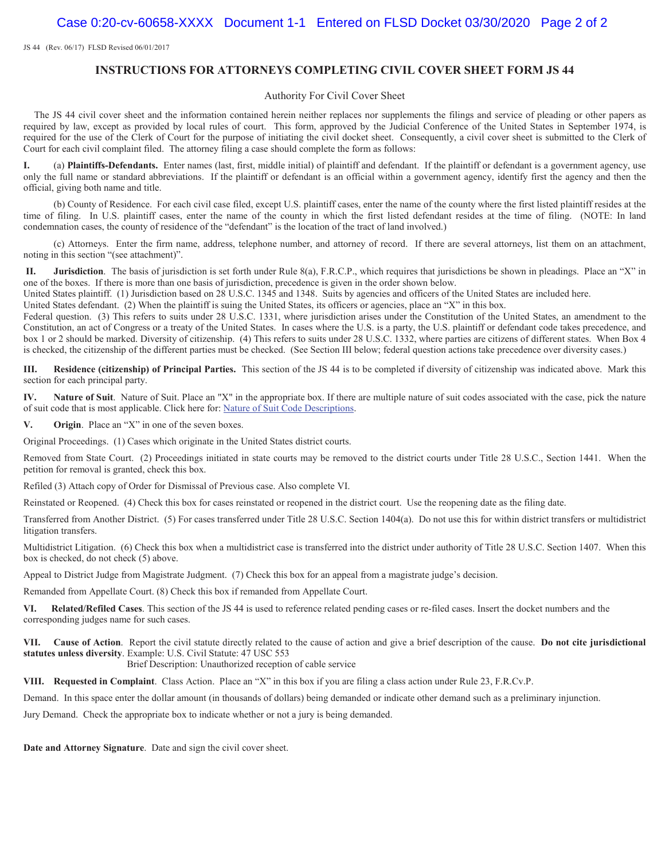JS 44 (Rev. 06/17) FLSD Revised 06/01/2017

#### **INSTRUCTIONS FOR ATTORNEYS COMPLETING CIVIL COVER SHEET FORM JS 44**

#### Authority For Civil Cover Sheet

The JS 44 civil cover sheet and the information contained herein neither replaces nor supplements the filings and service of pleading or other papers as required by law, except as provided by local rules of court. This form, approved by the Judicial Conference of the United States in September 1974, is required for the use of the Clerk of Court for the purpose of initiating the civil docket sheet. Consequently, a civil cover sheet is submitted to the Clerk of Court for each civil complaint filed. The attorney filing a case should complete the form as follows:

**I.** (a) **Plaintiffs-Defendants.** Enter names (last, first, middle initial) of plaintiff and defendant. If the plaintiff or defendant is a government agency, use only the full name or standard abbreviations. If the plaintiff or defendant is an official within a government agency, identify first the agency and then the official, giving both name and title.

(b) County of Residence. For each civil case filed, except U.S. plaintiff cases, enter the name of the county where the first listed plaintiff resides at the time of filing. In U.S. plaintiff cases, enter the name of the county in which the first listed defendant resides at the time of filing. (NOTE: In land condemnation cases, the county of residence of the "defendant" is the location of the tract of land involved.)

(c) Attorneys. Enter the firm name, address, telephone number, and attorney of record. If there are several attorneys, list them on an attachment, noting in this section "(see attachment)".

**II. Jurisdiction**. The basis of jurisdiction is set forth under Rule 8(a), F.R.C.P., which requires that jurisdictions be shown in pleadings. Place an "X" in one of the boxes. If there is more than one basis of jurisdiction, precedence is given in the order shown below.

United States plaintiff. (1) Jurisdiction based on 28 U.S.C. 1345 and 1348. Suits by agencies and officers of the United States are included here.

United States defendant. (2) When the plaintiff is suing the United States, its officers or agencies, place an "X" in this box.

Federal question. (3) This refers to suits under 28 U.S.C. 1331, where jurisdiction arises under the Constitution of the United States, an amendment to the Constitution, an act of Congress or a treaty of the United States. In cases where the U.S. is a party, the U.S. plaintiff or defendant code takes precedence, and box 1 or 2 should be marked. Diversity of citizenship. (4) This refers to suits under 28 U.S.C. 1332, where parties are citizens of different states. When Box 4 is checked, the citizenship of the different parties must be checked. (See Section III below; federal question actions take precedence over diversity cases.)

**III. Residence (citizenship) of Principal Parties.** This section of the JS 44 is to be completed if diversity of citizenship was indicated above. Mark this section for each principal party.

**IV. Nature of Suit**. Nature of Suit. Place an "X" in the appropriate box. If there are multiple nature of suit codes associated with the case, pick the nature of suit code that is most applicable. Click here for: Nature of Suit Code Descriptions.

**V. Origin**. Place an "X" in one of the seven boxes.

Original Proceedings. (1) Cases which originate in the United States district courts.

Removed from State Court. (2) Proceedings initiated in state courts may be removed to the district courts under Title 28 U.S.C., Section 1441. When the petition for removal is granted, check this box.

Refiled (3) Attach copy of Order for Dismissal of Previous case. Also complete VI.

Reinstated or Reopened. (4) Check this box for cases reinstated or reopened in the district court. Use the reopening date as the filing date.

Transferred from Another District. (5) For cases transferred under Title 28 U.S.C. Section 1404(a). Do not use this for within district transfers or multidistrict litigation transfers.

Multidistrict Litigation. (6) Check this box when a multidistrict case is transferred into the district under authority of Title 28 U.S.C. Section 1407. When this box is checked, do not check (5) above.

Appeal to District Judge from Magistrate Judgment. (7) Check this box for an appeal from a magistrate judge's decision.

Remanded from Appellate Court. (8) Check this box if remanded from Appellate Court.

**VI. Related/Refiled Cases**. This section of the JS 44 is used to reference related pending cases or re-filed cases. Insert the docket numbers and the corresponding judges name for such cases.

**VII. Cause of Action**. Report the civil statute directly related to the cause of action and give a brief description of the cause. **Do not cite jurisdictional statutes unless diversity**. Example: U.S. Civil Statute: 47 USC 553 Brief Description: Unauthorized reception of cable service

**VIII. Requested in Complaint**. Class Action. Place an "X" in this box if you are filing a class action under Rule 23, F.R.Cv.P.

Demand. In this space enter the dollar amount (in thousands of dollars) being demanded or indicate other demand such as a preliminary injunction.

Jury Demand. Check the appropriate box to indicate whether or not a jury is being demanded.

**Date and Attorney Signature**. Date and sign the civil cover sheet.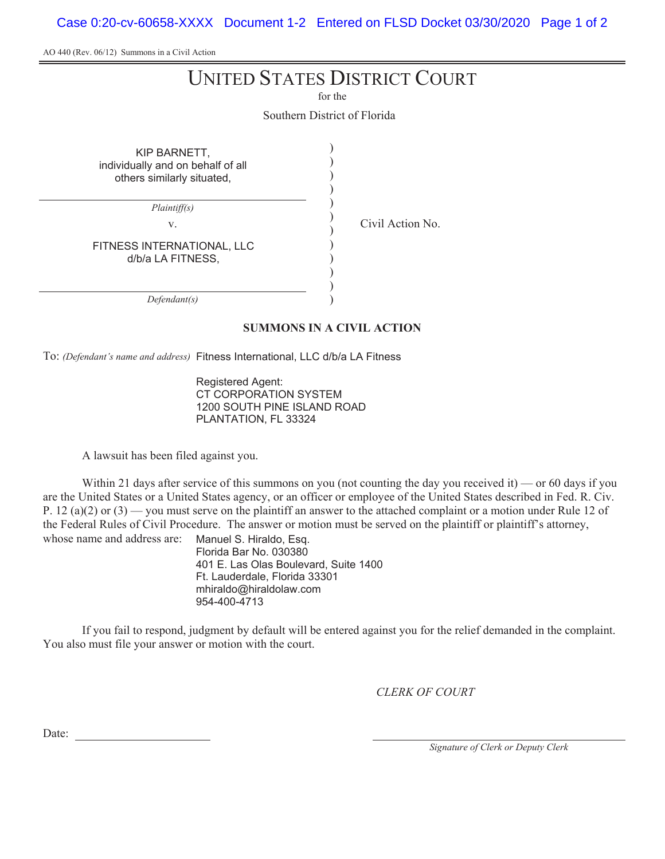Case 0:20-cv-60658-XXXX Document 1-2 Entered on FLSD Docket 03/30/2020 Page 1 of 2

AO 440 (Rev. 06/12) Summons in a Civil Action

# UNITED STATES DISTRICT COURT

for the

Southern District of Florida

) ) ) ) ) ) ) ) ) ) ) )

| KIP BARNETT,<br>individually and on behalf of all<br>others similarly situated, |  |
|---------------------------------------------------------------------------------|--|
| <i>Plaintiff(s)</i>                                                             |  |
| V.                                                                              |  |
| FITNESS INTERNATIONAL. LLC<br>d/b/a LA FITNESS,                                 |  |

Civil Action No.

*Defendant(s)*

#### **SUMMONS IN A CIVIL ACTION**

To: *(Defendant's name and address)* Fitness International, LLC d/b/a LA Fitness

Registered Agent: CT CORPORATION SYSTEM 1200 SOUTH PINE ISLAND ROAD PLANTATION, FL 33324

A lawsuit has been filed against you.

Within 21 days after service of this summons on you (not counting the day you received it) — or 60 days if you are the United States or a United States agency, or an officer or employee of the United States described in Fed. R. Civ. P. 12 (a)(2) or (3) — you must serve on the plaintiff an answer to the attached complaint or a motion under Rule 12 of the Federal Rules of Civil Procedure. The answer or motion must be served on the plaintiff or plaintiff's attorney, whose name and address are: Manuel S. Hiraldo, Esq.

Florida Bar No. 030380 401 E. Las Olas Boulevard, Suite 1400 Ft. Lauderdale, Florida 33301 mhiraldo@hiraldolaw.com 954-400-4713

If you fail to respond, judgment by default will be entered against you for the relief demanded in the complaint. You also must file your answer or motion with the court.

*CLERK OF COURT*

Date:

*Signature of Clerk or Deputy Clerk*